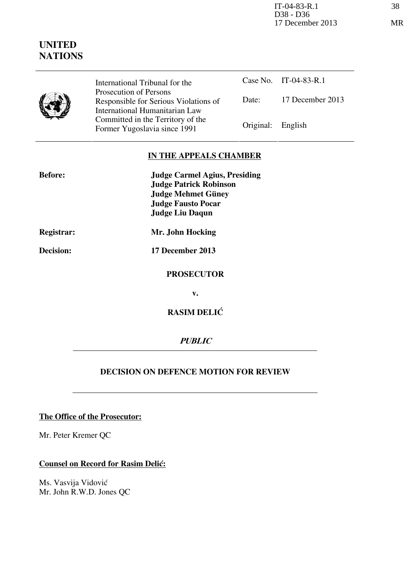IT-04-83-R.1 38 D38 - D36 17 December 2013 MR

# **UNITED NATIONS**

Case No. IT-04-83-R.1 Date: 17 December 2013 International Tribunal for the Prosecution of Persons Responsible for Serious Violations of International Humanitarian Law Committed in the Territory of the Former Yugoslavia since 1991 Original: English

#### **IN THE APPEALS CHAMBER**

| <b>Before:</b> | <b>Judge Carmel Agius, Presiding</b> |
|----------------|--------------------------------------|
|                | <b>Judge Patrick Robinson</b>        |
|                | <b>Judge Mehmet Güney</b>            |
|                | <b>Judge Fausto Pocar</b>            |
|                | <b>Judge Liu Daqun</b>               |
| Registrar:     | Mr. John Hocking                     |
| Decision:      | 17 December 2013                     |
|                | <b>PROSECUTOR</b>                    |
|                | v.                                   |
|                | <b>RASIM DELIĆ</b>                   |

**PUBLIC** 

## **DECISION ON DEFENCE MOTION FOR REVIEW**

### **The Office of the Prosecutor:**

Mr. Peter Kremer QC

## **Counsel on Record for Rasim Delić:**

Ms. Vasvija Vidović Mr. John R.W.D. Jones QC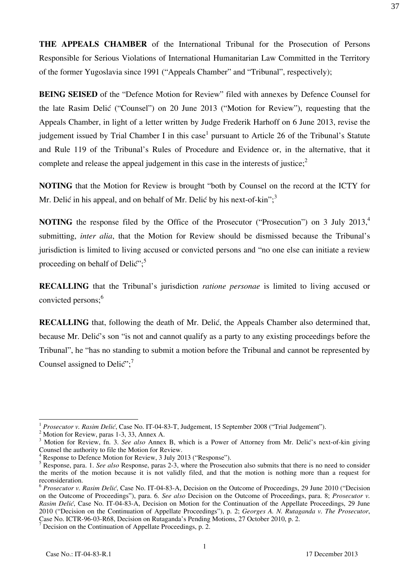**THE APPEALS CHAMBER** of the International Tribunal for the Prosecution of Persons Responsible for Serious Violations of International Humanitarian Law Committed in the Territory of the former Yugoslavia since 1991 ("Appeals Chamber" and "Tribunal", respectively);

**BEING SEISED** of the "Defence Motion for Review" filed with annexes by Defence Counsel for the late Rasim Delić ("Counsel") on 20 June 2013 ("Motion for Review"), requesting that the Appeals Chamber, in light of a letter written by Judge Frederik Harhoff on 6 June 2013, revise the judgement issued by Trial Chamber I in this case<sup>1</sup> pursuant to Article 26 of the Tribunal's Statute and Rule 119 of the Tribunal's Rules of Procedure and Evidence or, in the alternative, that it complete and release the appeal judgement in this case in the interests of justice;<sup>2</sup>

**NOTING** that the Motion for Review is brought "both by Counsel on the record at the ICTY for Mr. Delić in his appeal, and on behalf of Mr. Delić by his next-of-kin";  $3<sup>3</sup>$ 

**NOTING** the response filed by the Office of the Prosecutor ("Prosecution") on 3 July 2013,<sup>4</sup> submitting, *inter alia*, that the Motion for Review should be dismissed because the Tribunal's jurisdiction is limited to living accused or convicted persons and "no one else can initiate a review proceeding on behalf of Delić";<sup>5</sup>

**RECALLING** that the Tribunal's jurisdiction *ratione personae* is limited to living accused or convicted persons;<sup>6</sup>

**RECALLING** that, following the death of Mr. Delić, the Appeals Chamber also determined that, because Mr. Delic's son "is not and cannot qualify as a party to any existing proceedings before the Tribunal", he "has no standing to submit a motion before the Tribunal and cannot be represented by Counsel assigned to Delic";<sup>7</sup>

 $\overline{a}$ 

<sup>&</sup>lt;sup>1</sup> Prosecutor v. Rasim Delić, Case No. IT-04-83-T, Judgement, 15 September 2008 ("Trial Judgement").

<sup>&</sup>lt;sup>2</sup> Motion for Review, paras 1-3, 33, Annex A.

<sup>&</sup>lt;sup>3</sup> Motion for Review, fn. 3. See also Annex B, which is a Power of Attorney from Mr. Delić's next-of-kin giving Counsel the authority to file the Motion for Review.

<sup>&</sup>lt;sup>4</sup> Response to Defence Motion for Review, 3 July 2013 ("Response").

<sup>5</sup> Response, para. 1. *See also* Response, paras 2-3, where the Prosecution also submits that there is no need to consider the merits of the motion because it is not validly filed, and that the motion is nothing more than a request for reconsideration.

<sup>&</sup>lt;sup>6</sup> *Prosecutor v. Rasim Delić*, Case No. IT-04-83-A, Decision on the Outcome of Proceedings, 29 June 2010 ("Decision on the Outcome of Proceedings"), para. 6. *See also* Decision on the Outcome of Proceedings, para. 8; *Prosecutor v. Rasim Delić*, Case No. IT-04-83-A, Decision on Motion for the Continuation of the Appellate Proceedings, 29 June 2010 ("Decision on the Continuation of Appellate Proceedings"), p. 2; *Georges A. N. Rutaganda v. The Prosecutor*, Case No. ICTR-96-03-R68, Decision on Rutaganda's Pending Motions, 27 October 2010, p. 2.

<sup>&</sup>lt;sup>7</sup> Decision on the Continuation of Appellate Proceedings, p. 2.